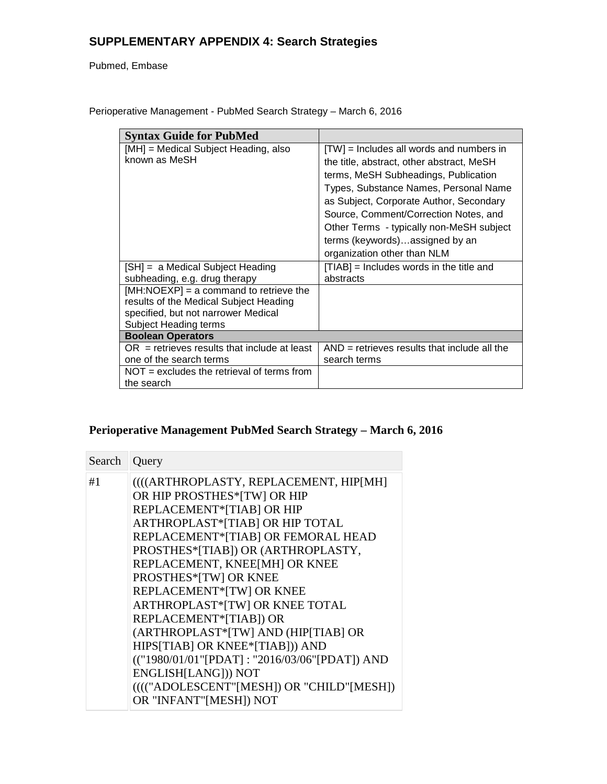# **SUPPLEMENTARY APPENDIX 4: Search Strategies**

### Pubmed, Embase

| <b>Syntax Guide for PubMed</b>                                                                                                                     |                                                                                                                                                                                                                                                                                                                                                                         |
|----------------------------------------------------------------------------------------------------------------------------------------------------|-------------------------------------------------------------------------------------------------------------------------------------------------------------------------------------------------------------------------------------------------------------------------------------------------------------------------------------------------------------------------|
| [MH] = Medical Subject Heading, also<br>known as MeSH                                                                                              | [TW] = Includes all words and numbers in<br>the title, abstract, other abstract, MeSH<br>terms, MeSH Subheadings, Publication<br>Types, Substance Names, Personal Name<br>as Subject, Corporate Author, Secondary<br>Source, Comment/Correction Notes, and<br>Other Terms - typically non-MeSH subject<br>terms (keywords)assigned by an<br>organization other than NLM |
| [SH] = a Medical Subject Heading<br>subheading, e.g. drug therapy                                                                                  | $[TIAB]$ = Includes words in the title and<br>abstracts                                                                                                                                                                                                                                                                                                                 |
| $[MH:NOEXP] = a$ command to retrieve the<br>results of the Medical Subject Heading<br>specified, but not narrower Medical<br>Subject Heading terms |                                                                                                                                                                                                                                                                                                                                                                         |
| <b>Boolean Operators</b>                                                                                                                           |                                                                                                                                                                                                                                                                                                                                                                         |
| $OR$ = retrieves results that include at least<br>one of the search terms                                                                          | $AND =$ retrieves results that include all the<br>search terms                                                                                                                                                                                                                                                                                                          |
| $NOT = excludes the retrieval of terms from$<br>the search                                                                                         |                                                                                                                                                                                                                                                                                                                                                                         |

Perioperative Management - PubMed Search Strategy – March 6, 2016

# **Perioperative Management PubMed Search Strategy – March 6, 2016**

| Search   Query |                                                                                                                                                                                                                                                                                                                                                                                                                                                                                                                                                                                              |
|----------------|----------------------------------------------------------------------------------------------------------------------------------------------------------------------------------------------------------------------------------------------------------------------------------------------------------------------------------------------------------------------------------------------------------------------------------------------------------------------------------------------------------------------------------------------------------------------------------------------|
| #1             | ((((ARTHROPLASTY, REPLACEMENT, HIP[MH]<br>OR HIP PROSTHES*[TW] OR HIP<br>REPLACEMENT*[TIAB] OR HIP<br>ARTHROPLAST*[TIAB] OR HIP TOTAL<br>REPLACEMENT*[TIAB] OR FEMORAL HEAD<br>PROSTHES*[TIAB]) OR (ARTHROPLASTY,<br>REPLACEMENT, KNEE[MH] OR KNEE<br>PROSTHES*[TW] OR KNEE<br>REPLACEMENT*[TW] OR KNEE<br>ARTHROPLAST*[TW] OR KNEE TOTAL<br>REPLACEMENT*[TIAB]) OR<br>(ARTHROPLAST*[TW] AND (HIP[TIAB] OR<br>HIPS[TIAB] OR KNEE*[TIAB])) AND<br>(("1980/01/01"[PDAT]: "2016/03/06"[PDAT]) AND<br>ENGLISH[LANG])) NOT<br>(((("ADOLESCENT"[MESH]) OR "CHILD"[MESH])<br>OR "INFANT"[MESH]) NOT |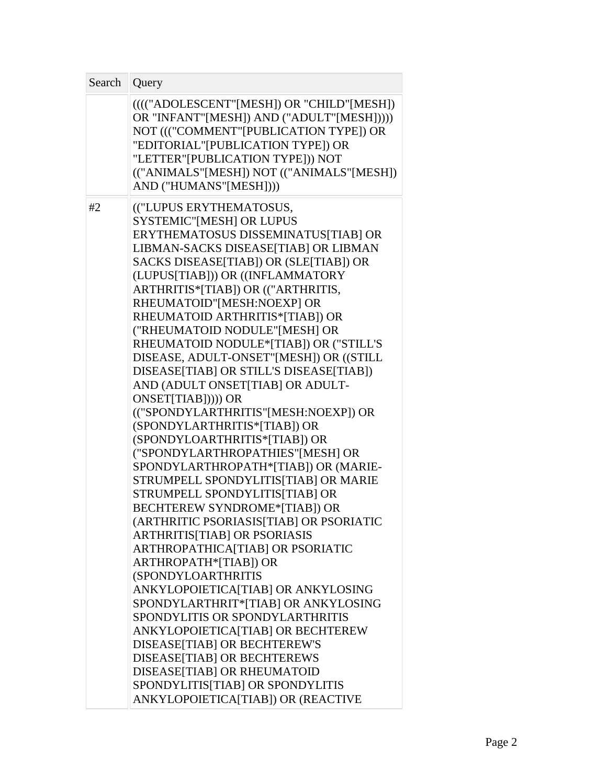| Search   Query |                                                                                                                                                                                                                                                                                                                                                                                                                                                                                                                                                                                                                                                                                                                                                                                                                                                                                                                                                                                                                                                                                                                                                                                                                                                                                                                                                                            |
|----------------|----------------------------------------------------------------------------------------------------------------------------------------------------------------------------------------------------------------------------------------------------------------------------------------------------------------------------------------------------------------------------------------------------------------------------------------------------------------------------------------------------------------------------------------------------------------------------------------------------------------------------------------------------------------------------------------------------------------------------------------------------------------------------------------------------------------------------------------------------------------------------------------------------------------------------------------------------------------------------------------------------------------------------------------------------------------------------------------------------------------------------------------------------------------------------------------------------------------------------------------------------------------------------------------------------------------------------------------------------------------------------|
|                | (((("ADOLESCENT"[MESH]) OR "CHILD"[MESH])<br>OR "INFANT"[MESH]) AND ("ADULT"[MESH]))))<br>NOT ((("COMMENT"[PUBLICATION TYPE]) OR<br>"EDITORIAL"[PUBLICATION TYPE]) OR<br>"LETTER" [PUBLICATION TYPE])) NOT<br>(("ANIMALS"[MESH]) NOT (("ANIMALS"[MESH])<br>AND ("HUMANS"[MESH])))                                                                                                                                                                                                                                                                                                                                                                                                                                                                                                                                                                                                                                                                                                                                                                                                                                                                                                                                                                                                                                                                                          |
| #2             | (("LUPUS ERYTHEMATOSUS,<br><b>SYSTEMIC"[MESH] OR LUPUS</b><br>ERYTHEMATOSUS DISSEMINATUS[TIAB] OR<br>LIBMAN-SACKS DISEASE[TIAB] OR LIBMAN<br>SACKS DISEASE[TIAB]) OR (SLE[TIAB]) OR<br>(LUPUS[TIAB])) OR ((INFLAMMATORY<br>ARTHRITIS*[TIAB]) OR (("ARTHRITIS,<br>RHEUMATOID"[MESH:NOEXP] OR<br>RHEUMATOID ARTHRITIS*[TIAB]) OR<br>("RHEUMATOID NODULE"[MESH] OR<br>RHEUMATOID NODULE*[TIAB]) OR ("STILL'S<br>DISEASE, ADULT-ONSET"[MESH]) OR ((STILL<br>DISEASE[TIAB] OR STILL'S DISEASE[TIAB])<br>AND (ADULT ONSET TIAB] OR ADULT-<br>ONSET[TIAB])))) OR<br>(("SPONDYLARTHRITIS"[MESH:NOEXP]) OR<br>(SPONDYLARTHRITIS*[TIAB]) OR<br>(SPONDYLOARTHRITIS*[TIAB]) OR<br>("SPONDYLARTHROPATHIES"[MESH] OR<br>SPONDYLARTHROPATH*[TIAB]) OR (MARIE-<br>STRUMPELL SPONDYLITIS[TIAB] OR MARIE<br>STRUMPELL SPONDYLITIS[TIAB] OR<br><b>BECHTEREW SYNDROME*[TIAB]) OR</b><br>(ARTHRITIC PSORIASIS[TIAB] OR PSORIATIC<br><b>ARTHRITIS[TIAB] OR PSORIASIS</b><br>ARTHROPATHICA[TIAB] OR PSORIATIC<br>ARTHROPATH*[TIAB]) OR<br><b>(SPONDYLOARTHRITIS)</b><br>ANKYLOPOIETICA[TIAB] OR ANKYLOSING<br>SPONDYLARTHRIT*[TIAB] OR ANKYLOSING<br>SPONDYLITIS OR SPONDYLARTHRITIS<br>ANKYLOPOIETICA[TIAB] OR BECHTEREW<br>DISEASE[TIAB] OR BECHTEREW'S<br>DISEASE[TIAB] OR BECHTEREWS<br>DISEASE[TIAB] OR RHEUMATOID<br>SPONDYLITIS[TIAB] OR SPONDYLITIS<br>ANKYLOPOIETICA[TIAB]) OR (REACTIVE |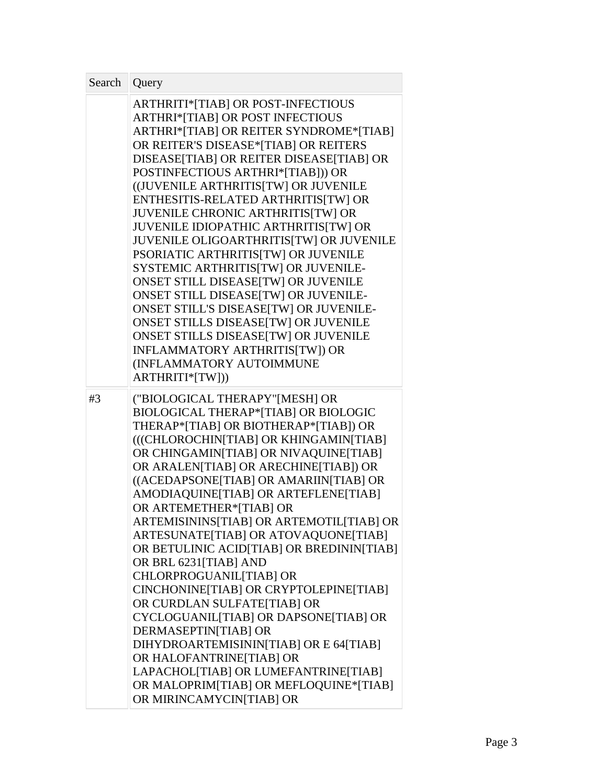| Search | Query                                                                                                                                                                                                                                                                                                                                                                                                                                                                                                                                                                                                                                                                                                                                                                                                                                                                          |
|--------|--------------------------------------------------------------------------------------------------------------------------------------------------------------------------------------------------------------------------------------------------------------------------------------------------------------------------------------------------------------------------------------------------------------------------------------------------------------------------------------------------------------------------------------------------------------------------------------------------------------------------------------------------------------------------------------------------------------------------------------------------------------------------------------------------------------------------------------------------------------------------------|
|        | <b>ARTHRITI*[TIAB] OR POST-INFECTIOUS</b><br>ARTHRI*[TIAB] OR POST INFECTIOUS<br>ARTHRI*[TIAB] OR REITER SYNDROME*[TIAB]<br>OR REITER'S DISEASE*[TIAB] OR REITERS<br>DISEASE[TIAB] OR REITER DISEASE[TIAB] OR<br>POSTINFECTIOUS ARTHRI*[TIAB])) OR<br>((JUVENILE ARTHRITIS[TW] OR JUVENILE<br>ENTHESITIS-RELATED ARTHRITIS[TW] OR<br><b>JUVENILE CHRONIC ARTHRITIS[TW] OR</b><br>JUVENILE IDIOPATHIC ARTHRITIS[TW] OR<br>JUVENILE OLIGOARTHRITIS[TW] OR JUVENILE<br>PSORIATIC ARTHRITIS[TW] OR JUVENILE<br>SYSTEMIC ARTHRITIS[TW] OR JUVENILE-<br><b>ONSET STILL DISEASE[TW] OR JUVENILE</b><br>ONSET STILL DISEASE[TW] OR JUVENILE-<br>ONSET STILL'S DISEASE[TW] OR JUVENILE-<br>ONSET STILLS DISEASE[TW] OR JUVENILE<br>ONSET STILLS DISEASE[TW] OR JUVENILE<br>INFLAMMATORY ARTHRITIS[TW]) OR<br>(INFLAMMATORY AUTOIMMUNE<br>ARTHRITI*[TW]))                                |
| #3     | ("BIOLOGICAL THERAPY"[MESH] OR<br>BIOLOGICAL THERAP*[TIAB] OR BIOLOGIC<br>THERAP*[TIAB] OR BIOTHERAP*[TIAB]) OR<br>(((CHLOROCHIN TIAB] OR KHINGAMIN TIAB]<br>OR CHINGAMIN[TIAB] OR NIVAQUINE[TIAB]<br>OR ARALEN[TIAB] OR ARECHINE[TIAB]) OR<br>((ACEDAPSONE[TIAB] OR AMARIIN[TIAB] OR<br>AMODIAQUINE[TIAB] OR ARTEFLENE[TIAB]<br>OR ARTEMETHER*[TIAB] OR<br>ARTEMISININS[TIAB] OR ARTEMOTIL[TIAB] OR<br>ARTESUNATE[TIAB] OR ATOVAQUONE[TIAB]<br>OR BETULINIC ACID[TIAB] OR BREDININ[TIAB]<br>OR BRL 6231[TIAB] AND<br>CHLORPROGUANIL [TIAB] OR<br>CINCHONINE[TIAB] OR CRYPTOLEPINE[TIAB]<br>OR CURDLAN SULFATE[TIAB] OR<br>CYCLOGUANIL [TIAB] OR DAPSONE [TIAB] OR<br>DERMASEPTIN[TIAB] OR<br>DIHYDROARTEMISININ[TIAB] OR E 64[TIAB]<br>OR HALOFANTRINE[TIAB] OR<br>LAPACHOL[TIAB] OR LUMEFANTRINE[TIAB]<br>OR MALOPRIM[TIAB] OR MEFLOQUINE*[TIAB]<br>OR MIRINCAMYCIN[TIAB] OR |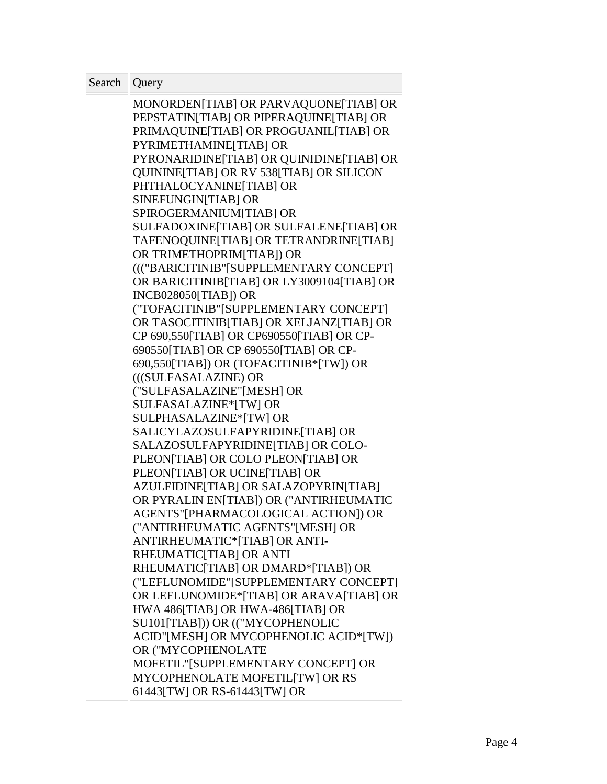| Search | Query                                                               |  |
|--------|---------------------------------------------------------------------|--|
|        | MONORDEN[TIAB] OR PARVAQUONE[TIAB] OR                               |  |
|        | PEPSTATIN[TIAB] OR PIPERAQUINE[TIAB] OR                             |  |
|        | PRIMAQUINE[TIAB] OR PROGUANIL[TIAB] OR                              |  |
|        | PYRIMETHAMINE[TIAB] OR                                              |  |
|        | PYRONARIDINE[TIAB] OR QUINIDINE[TIAB] OR                            |  |
|        | QUININE[TIAB] OR RV 538[TIAB] OR SILICON                            |  |
|        | PHTHALOCYANINE[TIAB] OR                                             |  |
|        | SINEFUNGIN[TIAB] OR                                                 |  |
|        | SPIROGERMANIUM[TIAB] OR                                             |  |
|        | SULFADOXINE[TIAB] OR SULFALENE[TIAB] OR                             |  |
|        | TAFENOQUINE[TIAB] OR TETRANDRINE[TIAB]<br>OR TRIMETHOPRIM[TIAB]) OR |  |
|        | ((("BARICITINIB"[SUPPLEMENTARY CONCEPT]                             |  |
|        | OR BARICITINIB[TIAB] OR LY3009104[TIAB] OR                          |  |
|        | <b>INCB028050[TIAB]) OR</b>                                         |  |
|        | ("TOFACITINIB"[SUPPLEMENTARY CONCEPT]                               |  |
|        | OR TASOCITINIB[TIAB] OR XELJANZ[TIAB] OR                            |  |
|        | CP 690,550[TIAB] OR CP690550[TIAB] OR CP-                           |  |
|        | 690550[TIAB] OR CP 690550[TIAB] OR CP-                              |  |
|        | 690,550[TIAB]) OR (TOFACITINIB*[TW]) OR                             |  |
|        | (((SULFASALAZINE) OR                                                |  |
|        | ("SULFASALAZINE"[MESH] OR                                           |  |
|        | SULFASALAZINE*[TW] OR                                               |  |
|        | SULPHASALAZINE*[TW] OR                                              |  |
|        | SALICYLAZOSULFAPYRIDINE[TIAB] OR                                    |  |
|        | SALAZOSULFAPYRIDINE[TIAB] OR COLO-                                  |  |
|        | PLEON[TIAB] OR COLO PLEON[TIAB] OR                                  |  |
|        | PLEON[TIAB] OR UCINE[TIAB] OR                                       |  |
|        | AZULFIDINE[TIAB] OR SALAZOPYRIN[TIAB]                               |  |
|        | OR PYRALIN EN[TIAB]) OR ("ANTIRHEUMATIC                             |  |
|        | AGENTS"[PHARMACOLOGICAL ACTION]) OR                                 |  |
|        | ("ANTIRHEUMATIC AGENTS"[MESH] OR                                    |  |
|        | ANTIRHEUMATIC*[TIAB] OR ANTI-                                       |  |
|        | RHEUMATIC[TIAB] OR ANTI<br>RHEUMATIC[TIAB] OR DMARD*[TIAB]) OR      |  |
|        | ("LEFLUNOMIDE"[SUPPLEMENTARY CONCEPT]                               |  |
|        | OR LEFLUNOMIDE*[TIAB] OR ARAVA[TIAB] OR                             |  |
|        | HWA 486[TIAB] OR HWA-486[TIAB] OR                                   |  |
|        | SU101[TIAB])) OR (("MYCOPHENOLIC                                    |  |
|        | ACID"[MESH] OR MYCOPHENOLIC ACID*[TW])                              |  |
|        | OR ("MYCOPHENOLATE                                                  |  |
|        | MOFETIL"[SUPPLEMENTARY CONCEPT] OR                                  |  |
|        | MYCOPHENOLATE MOFETIL[TW] OR RS                                     |  |
|        | 61443[TW] OR RS-61443[TW] OR                                        |  |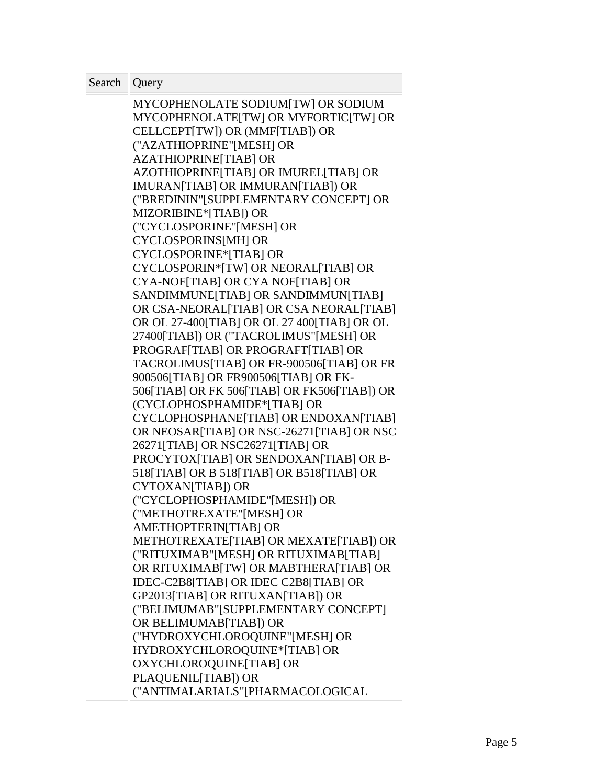| Search   Query |                                                                            |
|----------------|----------------------------------------------------------------------------|
|                | MYCOPHENOLATE SODIUM[TW] OR SODIUM<br>MYCOPHENOLATE[TW] OR MYFORTIC[TW] OR |
|                | CELLCEPT[TW]) OR (MMF[TIAB]) OR                                            |
|                | ("AZATHIOPRINE"[MESH] OR                                                   |
|                | AZATHIOPRINE[TIAB] OR                                                      |
|                | AZOTHIOPRINE[TIAB] OR IMUREL[TIAB] OR                                      |
|                | IMURAN[TIAB] OR IMMURAN[TIAB]) OR                                          |
|                | ("BREDININ"[SUPPLEMENTARY CONCEPT] OR                                      |
|                | MIZORIBINE*[TIAB]) OR                                                      |
|                | ("CYCLOSPORINE"[MESH] OR                                                   |
|                | <b>CYCLOSPORINS[MH] OR</b><br><b>CYCLOSPORINE*[TIAB] OR</b>                |
|                | CYCLOSPORIN*[TW] OR NEORAL[TIAB] OR                                        |
|                | CYA-NOF[TIAB] OR CYA NOF[TIAB] OR                                          |
|                | SANDIMMUNE[TIAB] OR SANDIMMUN[TIAB]                                        |
|                | OR CSA-NEORAL[TIAB] OR CSA NEORAL[TIAB]                                    |
|                | OR OL 27-400[TIAB] OR OL 27 400[TIAB] OR OL                                |
|                | 27400[TIAB]) OR ("TACROLIMUS"[MESH] OR                                     |
|                | PROGRAF[TIAB] OR PROGRAFT[TIAB] OR                                         |
|                | TACROLIMUS[TIAB] OR FR-900506[TIAB] OR FR                                  |
|                | 900506[TIAB] OR FR900506[TIAB] OR FK-                                      |
|                | 506[TIAB] OR FK 506[TIAB] OR FK506[TIAB]) OR                               |
|                | (CYCLOPHOSPHAMIDE*[TIAB] OR                                                |
|                | CYCLOPHOSPHANE[TIAB] OR ENDOXAN[TIAB]                                      |
|                | OR NEOSAR[TIAB] OR NSC-26271[TIAB] OR NSC                                  |
|                | 26271[TIAB] OR NSC26271[TIAB] OR                                           |
|                | PROCYTOX[TIAB] OR SENDOXAN[TIAB] OR B-                                     |
|                | 518[TIAB] OR B 518[TIAB] OR B518[TIAB] OR                                  |
|                | CYTOXAN[TIAB]) OR                                                          |
|                | ("CYCLOPHOSPHAMIDE"[MESH]) OR                                              |
|                | ("METHOTREXATE"[MESH] OR                                                   |
|                | AMETHOPTERIN[TIAB] OR                                                      |
|                | METHOTREXATE[TIAB] OR MEXATE[TIAB]) OR                                     |
|                | ("RITUXIMAB" [MESH] OR RITUXIMAB [TIAB]                                    |
|                | OR RITUXIMAB[TW] OR MABTHERA[TIAB] OR                                      |
|                | IDEC-C2B8[TIAB] OR IDEC C2B8[TIAB] OR                                      |
|                | GP2013[TIAB] OR RITUXAN[TIAB]) OR                                          |
|                | ("BELIMUMAB"[SUPPLEMENTARY CONCEPT]                                        |
|                | OR BELIMUMAB[TIAB]) OR                                                     |
|                | ("HYDROXYCHLOROQUINE"[MESH] OR                                             |
|                | HYDROXYCHLOROQUINE*[TIAB] OR                                               |
|                | OXYCHLOROQUINE[TIAB] OR                                                    |
|                | PLAQUENIL[TIAB]) OR                                                        |
|                | ("ANTIMALARIALS"[PHARMACOLOGICAL                                           |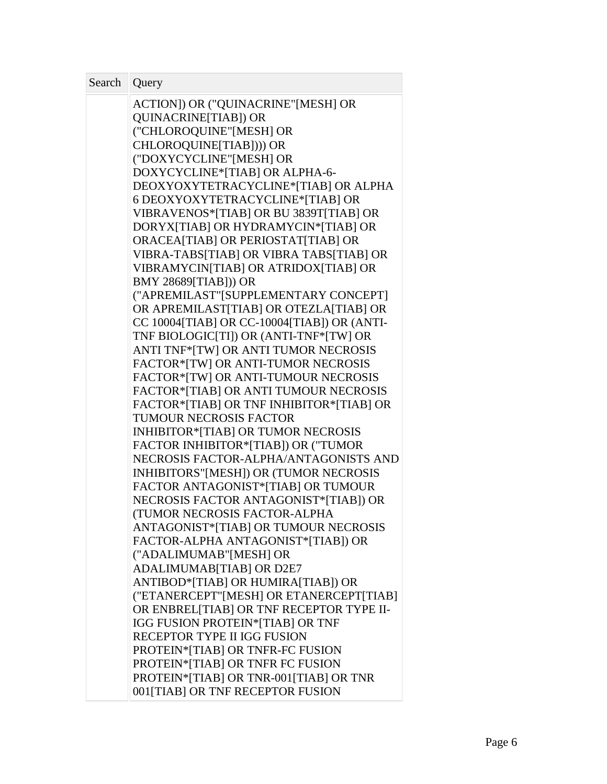| ACTION]) OR ("QUINACRINE"[MESH] OR<br><b>QUINACRINE[TIAB]) OR</b><br>("CHLOROQUINE"[MESH] OR<br>CHLOROQUINE[TIAB]))) OR<br>("DOXYCYCLINE"[MESH] OR<br>DOXYCYCLINE*[TIAB] OR ALPHA-6-<br>DEOXYOXYTETRACYCLINE*[TIAB] OR ALPHA |
|------------------------------------------------------------------------------------------------------------------------------------------------------------------------------------------------------------------------------|
|                                                                                                                                                                                                                              |
|                                                                                                                                                                                                                              |
|                                                                                                                                                                                                                              |
|                                                                                                                                                                                                                              |
|                                                                                                                                                                                                                              |
|                                                                                                                                                                                                                              |
|                                                                                                                                                                                                                              |
| 6 DEOXYOXYTETRACYCLINE*[TIAB] OR                                                                                                                                                                                             |
| VIBRAVENOS*[TIAB] OR BU 3839T[TIAB] OR                                                                                                                                                                                       |
| DORYX[TIAB] OR HYDRAMYCIN*[TIAB] OR                                                                                                                                                                                          |
| ORACEA[TIAB] OR PERIOSTAT[TIAB] OR                                                                                                                                                                                           |
| VIBRA-TABS[TIAB] OR VIBRA TABS[TIAB] OR                                                                                                                                                                                      |
| VIBRAMYCIN[TIAB] OR ATRIDOX[TIAB] OR                                                                                                                                                                                         |
| <b>BMY 28689[TIAB])) OR</b>                                                                                                                                                                                                  |
| ("APREMILAST"[SUPPLEMENTARY CONCEPT]                                                                                                                                                                                         |
| OR APREMILAST[TIAB] OR OTEZLA[TIAB] OR                                                                                                                                                                                       |
| CC 10004[TIAB] OR CC-10004[TIAB]) OR (ANTI-                                                                                                                                                                                  |
| TNF BIOLOGIC[TI]) OR (ANTI-TNF*[TW] OR                                                                                                                                                                                       |
| ANTI TNF*[TW] OR ANTI TUMOR NECROSIS                                                                                                                                                                                         |
| FACTOR*[TW] OR ANTI-TUMOR NECROSIS                                                                                                                                                                                           |
| FACTOR*[TW] OR ANTI-TUMOUR NECROSIS                                                                                                                                                                                          |
| FACTOR*[TIAB] OR ANTI TUMOUR NECROSIS                                                                                                                                                                                        |
| FACTOR*[TIAB] OR TNF INHIBITOR*[TIAB] OR                                                                                                                                                                                     |
| TUMOUR NECROSIS FACTOR                                                                                                                                                                                                       |
| INHIBITOR*[TIAB] OR TUMOR NECROSIS                                                                                                                                                                                           |
| FACTOR INHIBITOR*[TIAB]) OR ("TUMOR                                                                                                                                                                                          |
| NECROSIS FACTOR-ALPHA/ANTAGONISTS AND                                                                                                                                                                                        |
| INHIBITORS"[MESH]) OR (TUMOR NECROSIS                                                                                                                                                                                        |
| FACTOR ANTAGONIST*[TIAB] OR TUMOUR                                                                                                                                                                                           |
| NECROSIS FACTOR ANTAGONIST*[TIAB]) OR                                                                                                                                                                                        |
| (TUMOR NECROSIS FACTOR-ALPHA                                                                                                                                                                                                 |
| ANTAGONIST*[TIAB] OR TUMOUR NECROSIS                                                                                                                                                                                         |
| FACTOR-ALPHA ANTAGONIST*[TIAB]) OR<br>("ADALIMUMAB"[MESH] OR                                                                                                                                                                 |
| ADALIMUMAB[TIAB] OR D2E7                                                                                                                                                                                                     |
| ANTIBOD*[TIAB] OR HUMIRA[TIAB]) OR                                                                                                                                                                                           |
| ("ETANERCEPT"[MESH] OR ETANERCEPT[TIAB]                                                                                                                                                                                      |
| OR ENBREL[TIAB] OR TNF RECEPTOR TYPE II-                                                                                                                                                                                     |
| <b>IGG FUSION PROTEIN*[TIAB] OR TNF</b>                                                                                                                                                                                      |
| RECEPTOR TYPE II IGG FUSION                                                                                                                                                                                                  |
| PROTEIN*[TIAB] OR TNFR-FC FUSION                                                                                                                                                                                             |
| PROTEIN*[TIAB] OR TNFR FC FUSION                                                                                                                                                                                             |
| PROTEIN*[TIAB] OR TNR-001[TIAB] OR TNR                                                                                                                                                                                       |
| 001[TIAB] OR TNF RECEPTOR FUSION                                                                                                                                                                                             |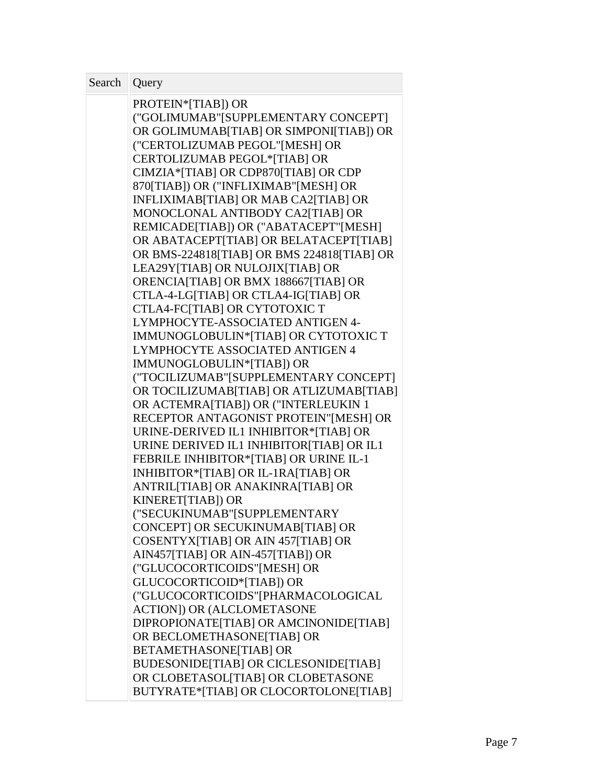| Search | Query                                                                   |  |
|--------|-------------------------------------------------------------------------|--|
|        | PROTEIN*[TIAB]) OR                                                      |  |
|        | ("GOLIMUMAB"[SUPPLEMENTARY CONCEPT]                                     |  |
|        | OR GOLIMUMAB[TIAB] OR SIMPONI[TIAB]) OR                                 |  |
|        | ("CERTOLIZUMAB PEGOL"[MESH] OR                                          |  |
|        | CERTOLIZUMAB PEGOL*[TIAB] OR                                            |  |
|        | CIMZIA*[TIAB] OR CDP870[TIAB] OR CDP                                    |  |
|        | 870[TIAB]) OR ("INFLIXIMAB"[MESH] OR                                    |  |
|        | INFLIXIMAB[TIAB] OR MAB CA2[TIAB] OR                                    |  |
|        | MONOCLONAL ANTIBODY CA2[TIAB] OR                                        |  |
|        | REMICADE[TIAB]) OR ("ABATACEPT"[MESH]                                   |  |
|        | OR ABATACEPT[TIAB] OR BELATACEPT[TIAB]                                  |  |
|        | OR BMS-224818[TIAB] OR BMS 224818[TIAB] OR                              |  |
|        | LEA29Y[TIAB] OR NULOJIX[TIAB] OR                                        |  |
|        | ORENCIA[TIAB] OR BMX 188667[TIAB] OR                                    |  |
|        | CTLA-4-LG[TIAB] OR CTLA4-IG[TIAB] OR                                    |  |
|        | CTLA4-FC[TIAB] OR CYTOTOXIC T                                           |  |
|        | LYMPHOCYTE-ASSOCIATED ANTIGEN 4-                                        |  |
|        | IMMUNOGLOBULIN*[TIAB] OR CYTOTOXIC T<br>LYMPHOCYTE ASSOCIATED ANTIGEN 4 |  |
|        | IMMUNOGLOBULIN*[TIAB]) OR                                               |  |
|        | ("TOCILIZUMAB" [SUPPLEMENTARY CONCEPT]                                  |  |
|        | OR TOCILIZUMAB[TIAB] OR ATLIZUMAB[TIAB]                                 |  |
|        | OR ACTEMRA[TIAB]) OR ("INTERLEUKIN 1                                    |  |
|        | RECEPTOR ANTAGONIST PROTEIN"[MESH] OR                                   |  |
|        | URINE-DERIVED IL1 INHIBITOR*[TIAB] OR                                   |  |
|        | URINE DERIVED IL1 INHIBITOR[TIAB] OR IL1                                |  |
|        | FEBRILE INHIBITOR*[TIAB] OR URINE IL-1                                  |  |
|        | INHIBITOR*[TIAB] OR IL-1RA[TIAB] OR                                     |  |
|        | ANTRIL[TIAB] OR ANAKINRA[TIAB] OR                                       |  |
|        | KINERET[TIAB]) OR                                                       |  |
|        | ("SECUKINUMAB"[SUPPLEMENTARY                                            |  |
|        | CONCEPT] OR SECUKINUMAB[TIAB] OR                                        |  |
|        | COSENTYX[TIAB] OR AIN 457[TIAB] OR                                      |  |
|        | AIN457[TIAB] OR AIN-457[TIAB]) OR                                       |  |
|        | ("GLUCOCORTICOIDS"[MESH] OR                                             |  |
|        | GLUCOCORTICOID*[TIAB]) OR                                               |  |
|        | ("GLUCOCORTICOIDS"[PHARMACOLOGICAL                                      |  |
|        | <b>ACTION]) OR (ALCLOMETASONE</b>                                       |  |
|        | DIPROPIONATE[TIAB] OR AMCINONIDE[TIAB]                                  |  |
|        | OR BECLOMETHASONE[TIAB] OR                                              |  |
|        | <b>BETAMETHASONE[TIAB] OR</b>                                           |  |
|        | <b>BUDESONIDE[TIAB] OR CICLESONIDE[TIAB]</b>                            |  |
|        | OR CLOBETASOL [TIAB] OR CLOBETASONE                                     |  |
|        | BUTYRATE*[TIAB] OR CLOCORTOLONE[TIAB]                                   |  |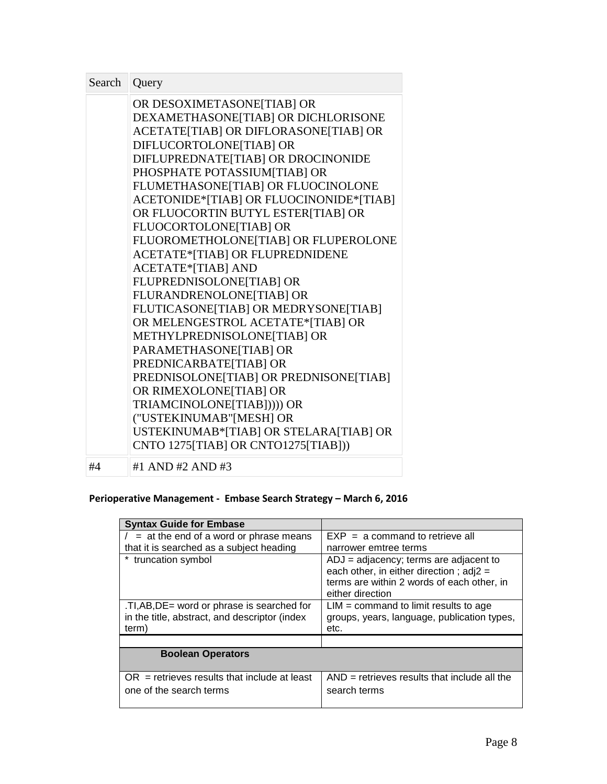| Search   Query |                                         |  |
|----------------|-----------------------------------------|--|
|                | OR DESOXIMETASONE[TIAB] OR              |  |
|                | DEXAMETHASONE[TIAB] OR DICHLORISONE     |  |
|                | ACETATE[TIAB] OR DIFLORASONE[TIAB] OR   |  |
|                | DIFLUCORTOLONE[TIAB] OR                 |  |
|                | DIFLUPREDNATE[TIAB] OR DROCINONIDE      |  |
|                | PHOSPHATE POTASSIUM[TIAB] OR            |  |
|                | FLUMETHASONE[TIAB] OR FLUOCINOLONE      |  |
|                | ACETONIDE*[TIAB] OR FLUOCINONIDE*[TIAB] |  |
|                | OR FLUOCORTIN BUTYL ESTER[TIAB] OR      |  |
|                | FLUOCORTOLONE[TIAB] OR                  |  |
|                | FLUOROMETHOLONE[TIAB] OR FLUPEROLONE    |  |
|                | <b>ACETATE*[TIAB] OR FLUPREDNIDENE</b>  |  |
|                | <b>ACETATE*[TIAB] AND</b>               |  |
|                | FLUPREDNISOLONE[TIAB] OR                |  |
|                | FLURANDRENOLONE[TIAB] OR                |  |
|                | FLUTICASONE[TIAB] OR MEDRYSONE[TIAB]    |  |
|                | OR MELENGESTROL ACETATE*[TIAB] OR       |  |
|                | METHYLPREDNISOLONE[TIAB] OR             |  |
|                | PARAMETHASONE[TIAB] OR                  |  |
|                | PREDNICARBATE[TIAB] OR                  |  |
|                | PREDNISOLONE[TIAB] OR PREDNISONE[TIAB]  |  |
|                | OR RIMEXOLONE[TIAB] OR                  |  |
|                | TRIAMCINOLONE[TIAB])))) OR              |  |
|                | ("USTEKINUMAB"[MESH] OR                 |  |
|                | USTEKINUMAB*[TIAB] OR STELARA[TIAB] OR  |  |
|                | CNTO 1275[TIAB] OR CNTO1275[TIAB]))     |  |
| #4             | #1 AND #2 AND #3                        |  |

## **Perioperative Management - Embase Search Strategy – March 6, 2016**

| <b>Syntax Guide for Embase</b>                                                                         |                                                                                                                                                         |
|--------------------------------------------------------------------------------------------------------|---------------------------------------------------------------------------------------------------------------------------------------------------------|
| $=$ at the end of a word or phrase means                                                               | $EXP = a$ command to retrieve all                                                                                                                       |
| that it is searched as a subject heading                                                               | narrower emtree terms                                                                                                                                   |
| * truncation symbol                                                                                    | $ADJ =$ adjacency; terms are adjacent to<br>each other, in either direction; $adj2 =$<br>terms are within 2 words of each other, in<br>either direction |
| .TI, AB, DE = word or phrase is searched for<br>in the title, abstract, and descriptor (index<br>term) | $LIM = command to limit results to age$<br>groups, years, language, publication types,<br>etc.                                                          |
|                                                                                                        |                                                                                                                                                         |
| <b>Boolean Operators</b>                                                                               |                                                                                                                                                         |
| $OR$ = retrieves results that include at least<br>one of the search terms                              | $AND =$ retrieves results that include all the<br>search terms                                                                                          |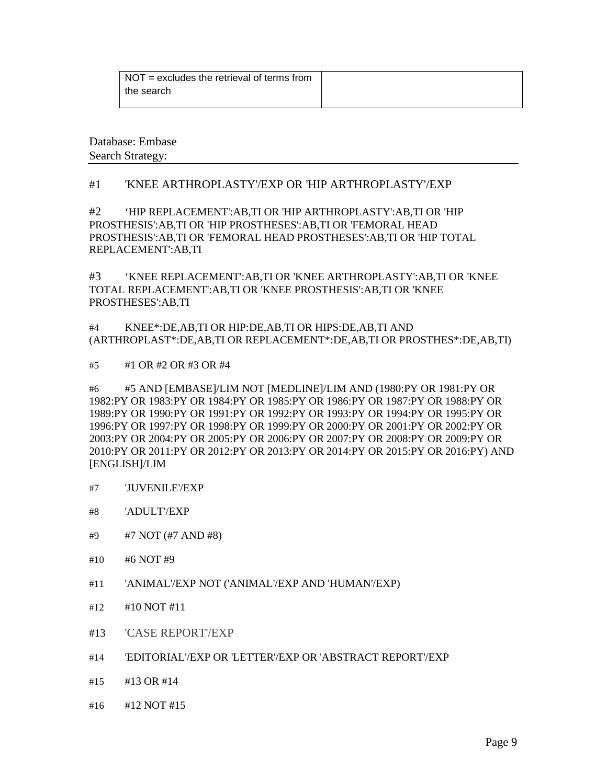| $\vert$ NOT = excludes the retrieval of terms from |  |
|----------------------------------------------------|--|
| the search                                         |  |
|                                                    |  |

Database: Embase Search Strategy:

#### #1 'KNEE ARTHROPLASTY'/EXP OR 'HIP ARTHROPLASTY'/EXP

#2 'HIP REPLACEMENT':AB,TI OR 'HIP ARTHROPLASTY':AB,TI OR 'HIP PROSTHESIS':AB,TI OR 'HIP PROSTHESES':AB,TI OR 'FEMORAL HEAD PROSTHESIS':AB,TI OR 'FEMORAL HEAD PROSTHESES':AB,TI OR 'HIP TOTAL REPLACEMENT':AB,TI

#3 'KNEE REPLACEMENT':AB,TI OR 'KNEE ARTHROPLASTY':AB,TI OR 'KNEE TOTAL REPLACEMENT':AB,TI OR 'KNEE PROSTHESIS':AB,TI OR 'KNEE PROSTHESES':AB,TI

#4 KNEE\*:DE,AB,TI OR HIP:DE,AB,TI OR HIPS:DE,AB,TI AND (ARTHROPLAST\*:DE,AB,TI OR REPLACEMENT\*:DE,AB,TI OR PROSTHES\*:DE,AB,TI)

#5 #1 OR #2 OR #3 OR #4

#6 #5 AND [EMBASE]/LIM NOT [MEDLINE]/LIM AND (1980:PY OR 1981:PY OR 1982:PY OR 1983:PY OR 1984:PY OR 1985:PY OR 1986:PY OR 1987:PY OR 1988:PY OR 1989:PY OR 1990:PY OR 1991:PY OR 1992:PY OR 1993:PY OR 1994:PY OR 1995:PY OR 1996:PY OR 1997:PY OR 1998:PY OR 1999:PY OR 2000:PY OR 2001:PY OR 2002:PY OR 2003:PY OR 2004:PY OR 2005:PY OR 2006:PY OR 2007:PY OR 2008:PY OR 2009:PY OR 2010:PY OR 2011:PY OR 2012:PY OR 2013:PY OR 2014:PY OR 2015:PY OR 2016:PY) AND [ENGLISH]/LIM

- #7 'JUVENILE'/EXP
- #8 'ADULT'/EXP
- #9 #7 NOT (#7 AND #8)
- #10 #6 NOT #9
- #11 'ANIMAL'/EXP NOT ('ANIMAL'/EXP AND 'HUMAN'/EXP)
- #12 #10 NOT #11
- #13 'CASE REPORT'/EXP
- #14 'EDITORIAL'/EXP OR 'LETTER'/EXP OR 'ABSTRACT REPORT'/EXP
- #15 #13 OR #14
- #16 #12 NOT #15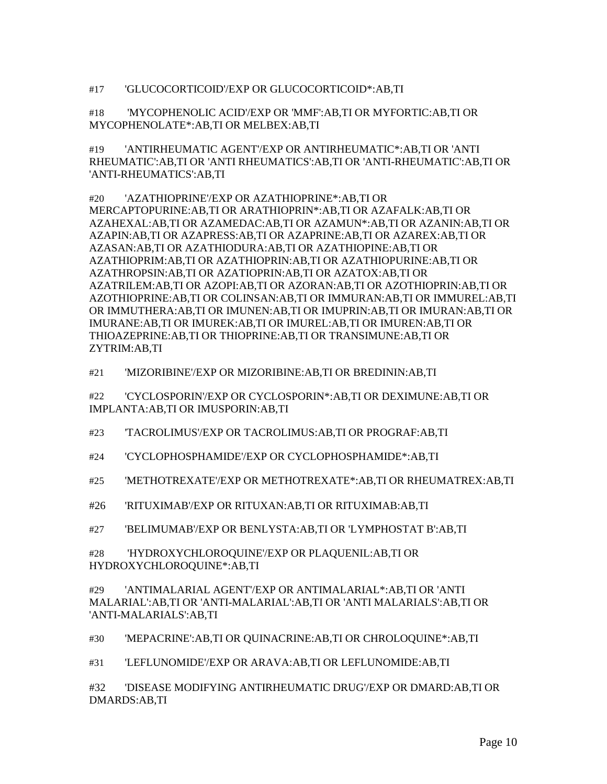#17 'GLUCOCORTICOID'/EXP OR GLUCOCORTICOID\*:AB,TI

#18 'MYCOPHENOLIC ACID'/EXP OR 'MMF':AB,TI OR MYFORTIC:AB,TI OR MYCOPHENOLATE\*:AB,TI OR MELBEX:AB,TI

#19 'ANTIRHEUMATIC AGENT'/EXP OR ANTIRHEUMATIC\*:AB,TI OR 'ANTI RHEUMATIC':AB,TI OR 'ANTI RHEUMATICS':AB,TI OR 'ANTI-RHEUMATIC':AB,TI OR 'ANTI-RHEUMATICS':AB,TI

#20 'AZATHIOPRINE'/EXP OR AZATHIOPRINE\*:AB,TI OR MERCAPTOPURINE:AB,TI OR ARATHIOPRIN\*:AB,TI OR AZAFALK:AB,TI OR AZAHEXAL:AB,TI OR AZAMEDAC:AB,TI OR AZAMUN\*:AB,TI OR AZANIN:AB,TI OR AZAPIN:AB,TI OR AZAPRESS:AB,TI OR AZAPRINE:AB,TI OR AZAREX:AB,TI OR AZASAN:AB,TI OR AZATHIODURA:AB,TI OR AZATHIOPINE:AB,TI OR AZATHIOPRIM:AB,TI OR AZATHIOPRIN:AB,TI OR AZATHIOPURINE:AB,TI OR AZATHROPSIN:AB,TI OR AZATIOPRIN:AB,TI OR AZATOX:AB,TI OR AZATRILEM:AB,TI OR AZOPI:AB,TI OR AZORAN:AB,TI OR AZOTHIOPRIN:AB,TI OR AZOTHIOPRINE:AB,TI OR COLINSAN:AB,TI OR IMMURAN:AB,TI OR IMMUREL:AB,TI OR IMMUTHERA:AB,TI OR IMUNEN:AB,TI OR IMUPRIN:AB,TI OR IMURAN:AB,TI OR IMURANE:AB,TI OR IMUREK:AB,TI OR IMUREL:AB,TI OR IMUREN:AB,TI OR THIOAZEPRINE:AB,TI OR THIOPRINE:AB,TI OR TRANSIMUNE:AB,TI OR ZYTRIM:AB,TI

#21 'MIZORIBINE'/EXP OR MIZORIBINE:AB,TI OR BREDININ:AB,TI

#22 'CYCLOSPORIN'/EXP OR CYCLOSPORIN\*:AB,TI OR DEXIMUNE:AB,TI OR IMPLANTA:AB,TI OR IMUSPORIN:AB,TI

#23 'TACROLIMUS'/EXP OR TACROLIMUS:AB,TI OR PROGRAF:AB,TI

#24 'CYCLOPHOSPHAMIDE'/EXP OR CYCLOPHOSPHAMIDE\*:AB,TI

#25 'METHOTREXATE'/EXP OR METHOTREXATE\*:AB,TI OR RHEUMATREX:AB,TI

#26 'RITUXIMAB'/EXP OR RITUXAN:AB,TI OR RITUXIMAB:AB,TI

#27 'BELIMUMAB'/EXP OR BENLYSTA:AB,TI OR 'LYMPHOSTAT B':AB,TI

#28 'HYDROXYCHLOROQUINE'/EXP OR PLAQUENIL:AB,TI OR HYDROXYCHLOROQUINE\*:AB,TI

#29 'ANTIMALARIAL AGENT'/EXP OR ANTIMALARIAL\*:AB,TI OR 'ANTI MALARIAL':AB,TI OR 'ANTI-MALARIAL':AB,TI OR 'ANTI MALARIALS':AB,TI OR 'ANTI-MALARIALS':AB,TI

#30 'MEPACRINE':AB,TI OR QUINACRINE:AB,TI OR CHROLOQUINE\*:AB,TI

#31 'LEFLUNOMIDE'/EXP OR ARAVA:AB,TI OR LEFLUNOMIDE:AB,TI

#32 'DISEASE MODIFYING ANTIRHEUMATIC DRUG'/EXP OR DMARD:AB,TI OR DMARDS:AB,TI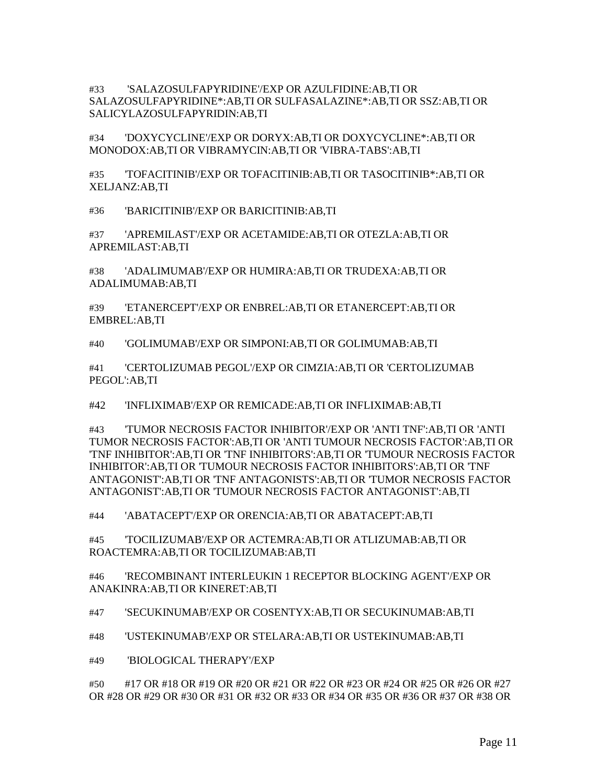#33 'SALAZOSULFAPYRIDINE'/EXP OR AZULFIDINE:AB,TI OR SALAZOSULFAPYRIDINE\*:AB,TI OR SULFASALAZINE\*:AB,TI OR SSZ:AB,TI OR SALICYLAZOSULFAPYRIDIN:AB,TI

#34 'DOXYCYCLINE'/EXP OR DORYX:AB,TI OR DOXYCYCLINE\*:AB,TI OR MONODOX:AB,TI OR VIBRAMYCIN:AB,TI OR 'VIBRA-TABS':AB,TI

#35 'TOFACITINIB'/EXP OR TOFACITINIB:AB,TI OR TASOCITINIB\*:AB,TI OR XELJANZ:AB,TI

#36 'BARICITINIB'/EXP OR BARICITINIB:AB,TI

#37 'APREMILAST'/EXP OR ACETAMIDE:AB,TI OR OTEZLA:AB,TI OR APREMILAST:AB,TI

#38 'ADALIMUMAB'/EXP OR HUMIRA:AB,TI OR TRUDEXA:AB,TI OR ADALIMUMAB:AB,TI

#39 'ETANERCEPT'/EXP OR ENBREL:AB,TI OR ETANERCEPT:AB,TI OR EMBREL:AB,TI

#40 'GOLIMUMAB'/EXP OR SIMPONI:AB,TI OR GOLIMUMAB:AB,TI

#41 'CERTOLIZUMAB PEGOL'/EXP OR CIMZIA:AB,TI OR 'CERTOLIZUMAB PEGOL':AB,TI

#42 'INFLIXIMAB'/EXP OR REMICADE:AB,TI OR INFLIXIMAB:AB,TI

#43 'TUMOR NECROSIS FACTOR INHIBITOR'/EXP OR 'ANTI TNF':AB,TI OR 'ANTI TUMOR NECROSIS FACTOR':AB,TI OR 'ANTI TUMOUR NECROSIS FACTOR':AB,TI OR 'TNF INHIBITOR':AB,TI OR 'TNF INHIBITORS':AB,TI OR 'TUMOUR NECROSIS FACTOR INHIBITOR':AB,TI OR 'TUMOUR NECROSIS FACTOR INHIBITORS':AB,TI OR 'TNF ANTAGONIST':AB,TI OR 'TNF ANTAGONISTS':AB,TI OR 'TUMOR NECROSIS FACTOR ANTAGONIST':AB,TI OR 'TUMOUR NECROSIS FACTOR ANTAGONIST':AB,TI

#44 'ABATACEPT'/EXP OR ORENCIA:AB,TI OR ABATACEPT:AB,TI

#45 'TOCILIZUMAB'/EXP OR ACTEMRA:AB,TI OR ATLIZUMAB:AB,TI OR ROACTEMRA:AB,TI OR TOCILIZUMAB:AB,TI

#46 'RECOMBINANT INTERLEUKIN 1 RECEPTOR BLOCKING AGENT'/EXP OR ANAKINRA:AB,TI OR KINERET:AB,TI

#47 'SECUKINUMAB'/EXP OR COSENTYX:AB,TI OR SECUKINUMAB:AB,TI

#48 'USTEKINUMAB'/EXP OR STELARA:AB,TI OR USTEKINUMAB:AB,TI

#49 'BIOLOGICAL THERAPY'/EXP

#50 #17 OR #18 OR #19 OR #20 OR #21 OR #22 OR #23 OR #24 OR #25 OR #26 OR #27 OR #28 OR #29 OR #30 OR #31 OR #32 OR #33 OR #34 OR #35 OR #36 OR #37 OR #38 OR